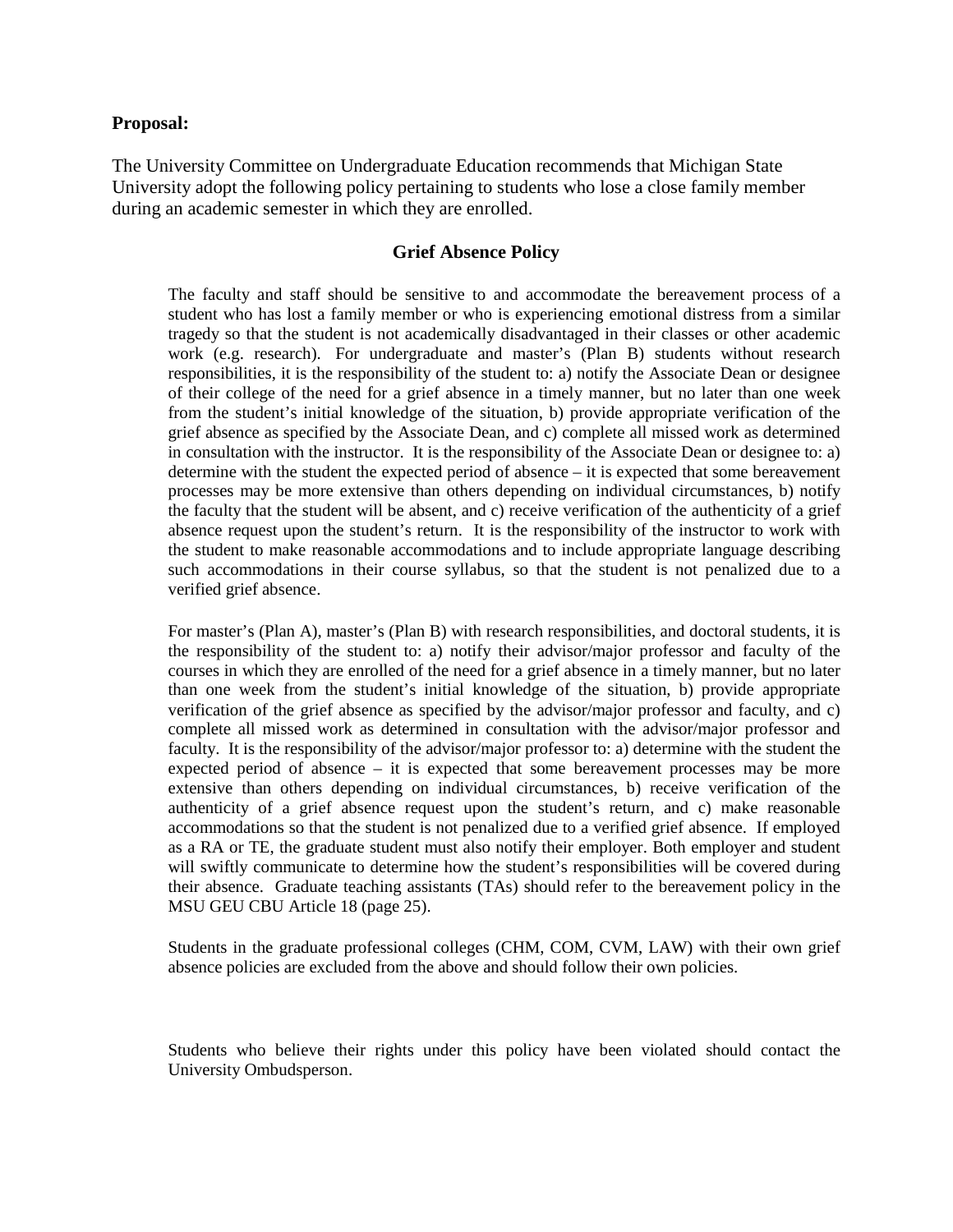#### **Proposal:**

The University Committee on Undergraduate Education recommends that Michigan State University adopt the following policy pertaining to students who lose a close family member during an academic semester in which they are enrolled.

#### **Grief Absence Policy**

The faculty and staff should be sensitive to and accommodate the bereavement process of a student who has lost a family member or who is experiencing emotional distress from a similar tragedy so that the student is not academically disadvantaged in their classes or other academic work (e.g. research). For undergraduate and master's (Plan B) students without research responsibilities, it is the responsibility of the student to: a) notify the Associate Dean or designee of their college of the need for a grief absence in a timely manner, but no later than one week from the student's initial knowledge of the situation, b) provide appropriate verification of the grief absence as specified by the Associate Dean, and c) complete all missed work as determined in consultation with the instructor. It is the responsibility of the Associate Dean or designee to: a) determine with the student the expected period of absence – it is expected that some bereavement processes may be more extensive than others depending on individual circumstances, b) notify the faculty that the student will be absent, and c) receive verification of the authenticity of a grief absence request upon the student's return. It is the responsibility of the instructor to work with the student to make reasonable accommodations and to include appropriate language describing such accommodations in their course syllabus, so that the student is not penalized due to a verified grief absence.

For master's (Plan A), master's (Plan B) with research responsibilities, and doctoral students, it is the responsibility of the student to: a) notify their advisor/major professor and faculty of the courses in which they are enrolled of the need for a grief absence in a timely manner, but no later than one week from the student's initial knowledge of the situation, b) provide appropriate verification of the grief absence as specified by the advisor/major professor and faculty, and c) complete all missed work as determined in consultation with the advisor/major professor and faculty. It is the responsibility of the advisor/major professor to: a) determine with the student the expected period of absence  $-$  it is expected that some bereavement processes may be more extensive than others depending on individual circumstances, b) receive verification of the authenticity of a grief absence request upon the student's return, and c) make reasonable accommodations so that the student is not penalized due to a verified grief absence. If employed as a RA or TE, the graduate student must also notify their employer. Both employer and student will swiftly communicate to determine how the student's responsibilities will be covered during their absence. Graduate teaching assistants (TAs) should refer to the bereavement policy in the MSU GEU CBU Article 18 (page 25).

Students in the graduate professional colleges (CHM, COM, CVM, LAW) with their own grief absence policies are excluded from the above and should follow their own policies.

Students who believe their rights under this policy have been violated should contact the University Ombudsperson.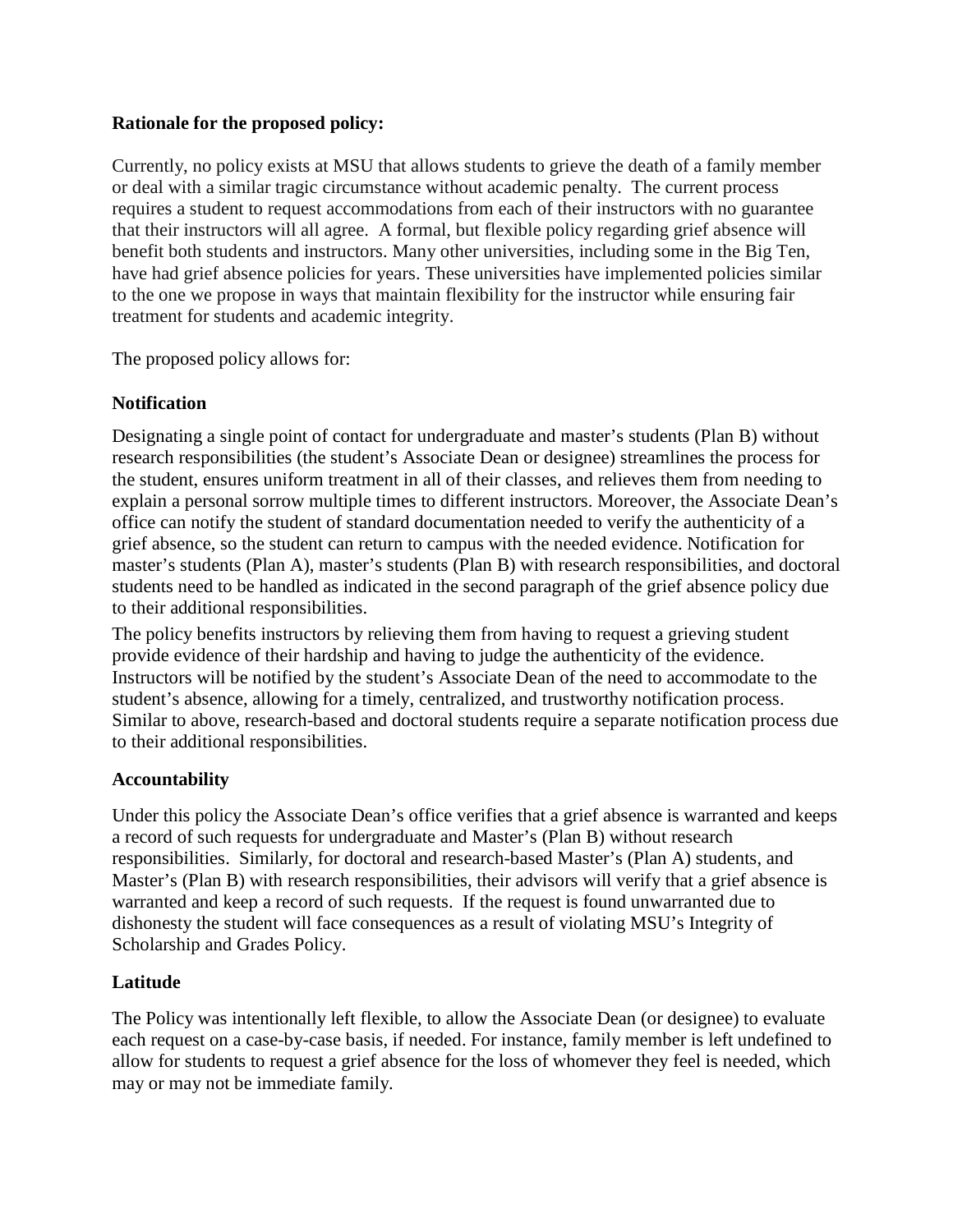### **Rationale for the proposed policy:**

Currently, no policy exists at MSU that allows students to grieve the death of a family member or deal with a similar tragic circumstance without academic penalty. The current process requires a student to request accommodations from each of their instructors with no guarantee that their instructors will all agree. A formal, but flexible policy regarding grief absence will benefit both students and instructors. Many other universities, including some in the Big Ten, have had grief absence policies for years. These universities have implemented policies similar to the one we propose in ways that maintain flexibility for the instructor while ensuring fair treatment for students and academic integrity.

The proposed policy allows for:

# **Notification**

Designating a single point of contact for undergraduate and master's students (Plan B) without research responsibilities (the student's Associate Dean or designee) streamlines the process for the student, ensures uniform treatment in all of their classes, and relieves them from needing to explain a personal sorrow multiple times to different instructors. Moreover, the Associate Dean's office can notify the student of standard documentation needed to verify the authenticity of a grief absence, so the student can return to campus with the needed evidence. Notification for master's students (Plan A), master's students (Plan B) with research responsibilities, and doctoral students need to be handled as indicated in the second paragraph of the grief absence policy due to their additional responsibilities.

The policy benefits instructors by relieving them from having to request a grieving student provide evidence of their hardship and having to judge the authenticity of the evidence. Instructors will be notified by the student's Associate Dean of the need to accommodate to the student's absence, allowing for a timely, centralized, and trustworthy notification process. Similar to above, research-based and doctoral students require a separate notification process due to their additional responsibilities.

# **Accountability**

Under this policy the Associate Dean's office verifies that a grief absence is warranted and keeps a record of such requests for undergraduate and Master's (Plan B) without research responsibilities. Similarly, for doctoral and research-based Master's (Plan A) students, and Master's (Plan B) with research responsibilities, their advisors will verify that a grief absence is warranted and keep a record of such requests. If the request is found unwarranted due to dishonesty the student will face consequences as a result of violating MSU's Integrity of Scholarship and Grades Policy.

# **Latitude**

The Policy was intentionally left flexible, to allow the Associate Dean (or designee) to evaluate each request on a case-by-case basis, if needed. For instance, family member is left undefined to allow for students to request a grief absence for the loss of whomever they feel is needed, which may or may not be immediate family.